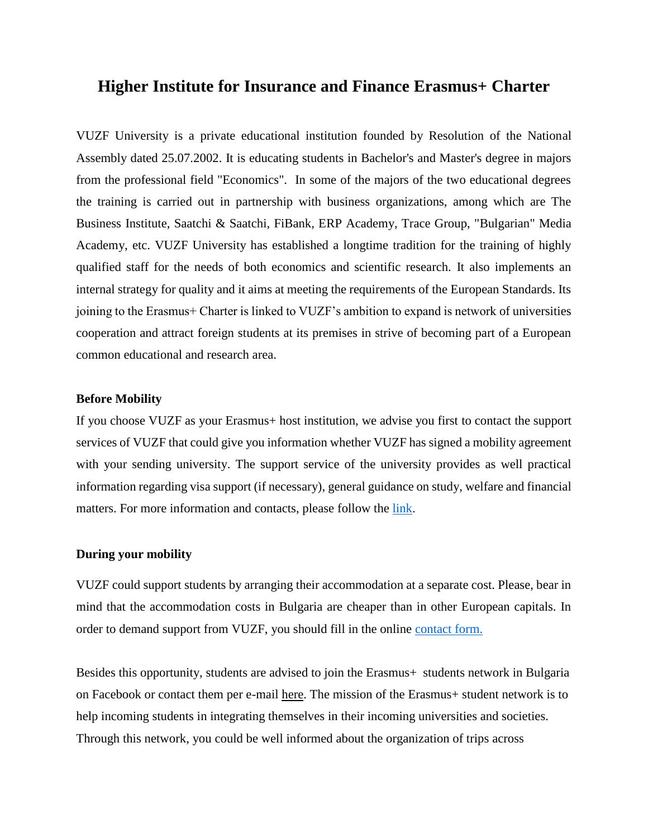# **Higher Institute for Insurance and Finance Erasmus+ Charter**

VUZF University is a private educational institution founded by Resolution of the National Assembly dated 25.07.2002. It is educating students in Bachelor's and Master's degree in majors from the professional field "Economics". In some of the majors of the two educational degrees the training is carried out in partnership with business organizations, among which are The Business Institute, Saatchi & Saatchi, FiBank, ERP Academy, Trace Group, "Bulgarian" Media Academy, etc. VUZF University has established a longtime tradition for the training of highly qualified staff for the needs of both economics and scientific research. It also implements an internal strategy for quality and it aims at meeting the requirements of the European Standards. Its joining to the Erasmus+ Charter is linked to VUZF's ambition to expand is network of universities cooperation and attract foreign students at its premises in strive of becoming part of a European common educational and research area.

# **Before Mobility**

If you choose VUZF as your Erasmus+ host institution, we advise you first to contact the support services of VUZF that could give you information whether VUZF has signed a mobility agreement with your sending university. The support service of the university provides as well practical information regarding visa support (if necessary), general guidance on study, welfare and financial matters. For more information and contacts, please follow the [link.](https://vuzf.bg/en/support-services)

# **During your mobility**

VUZF could support students by arranging their accommodation at a separate cost. Please, bear in mind that the accommodation costs in Bulgaria are cheaper than in other European capitals. In order to demand support from VUZF, you should fill in the online [contact form.](https://vuzf.bg/en/accommodation-and-living-cost)

Besides this opportunity, students are advised to join the Erasmus + students network in Bulgaria on Facebook or contact them per e-mail [here.](https://www.facebook.com/pg/esnbulgaria/about/?ref=page_internal) The mission of the Erasmus+ student network is to help incoming students in integrating themselves in their incoming universities and societies. Through this network, you could be well informed about the organization of trips across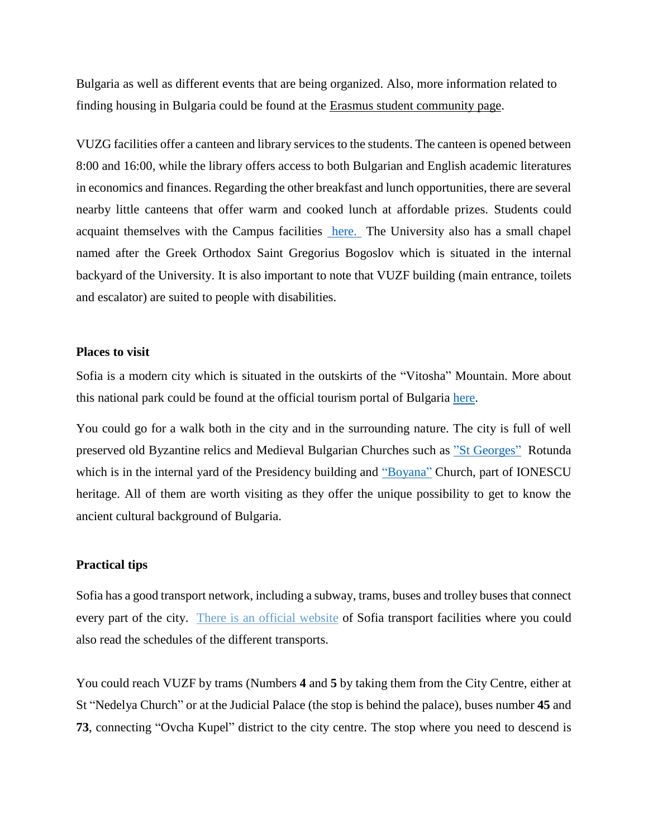Bulgaria as well as different events that are being organized. Also, more information related to finding housing in Bulgaria could be found at the [Erasmus student community page.](https://erasmusu.com/fr/home)

VUZG facilities offer a canteen and library services to the students. The canteen is opened between 8:00 and 16:00, while the library offers access to both Bulgarian and English academic literatures in economics and finances. Regarding the other breakfast and lunch opportunities, there are several nearby little canteens that offer warm and cooked lunch at affordable prizes. Students could acquaint themselves with the Campus facilities [here.](https://vuzf.bg/en/campus) The University also has a small chapel named after the Greek Orthodox Saint Gregorius Bogoslov which is situated in the internal backyard of the University. It is also important to note that VUZF building (main entrance, toilets and escalator) are suited to people with disabilities.

### **Places to visit**

Sofia is a modern city which is situated in the outskirts of the "Vitosha" Mountain. More about this national park could be found at the official tourism portal of Bulgaria [here.](https://bulgariatravel.org/en/object/237/Vitosha#map=6/42.750/25.380)

You could go for a walk both in the city and in the surrounding nature. The city is full of well preserved old Byzantine relics and Medieval Bulgarian Churches such as ["St Georges"](https://en.wikipedia.org/wiki/Church_of_Saint_George,_Sofia) Rotunda which is in the internal yard of the Presidency building and ["Boyana"](https://en.wikipedia.org/wiki/Boyana_Church) Church, part of IONESCU heritage. All of them are worth visiting as they offer the unique possibility to get to know the ancient cultural background of Bulgaria.

## **Practical tips**

Sofia has a good transport network, including a subway, trams, buses and trolley buses that connect every part of the city. There is an official [website](https://www.sofiatraffic.bg/en/transport/schedules) of Sofia transport facilities where you could also read the schedules of the different transports.

You could reach VUZF by trams (Numbers **4** and **5** by taking them from the City Centre, either at St "Nedelya Church" or at the Judicial Palace (the stop is behind the palace), buses number **45** and **73**, connecting "Ovcha Kupel" district to the city centre. The stop where you need to descend is